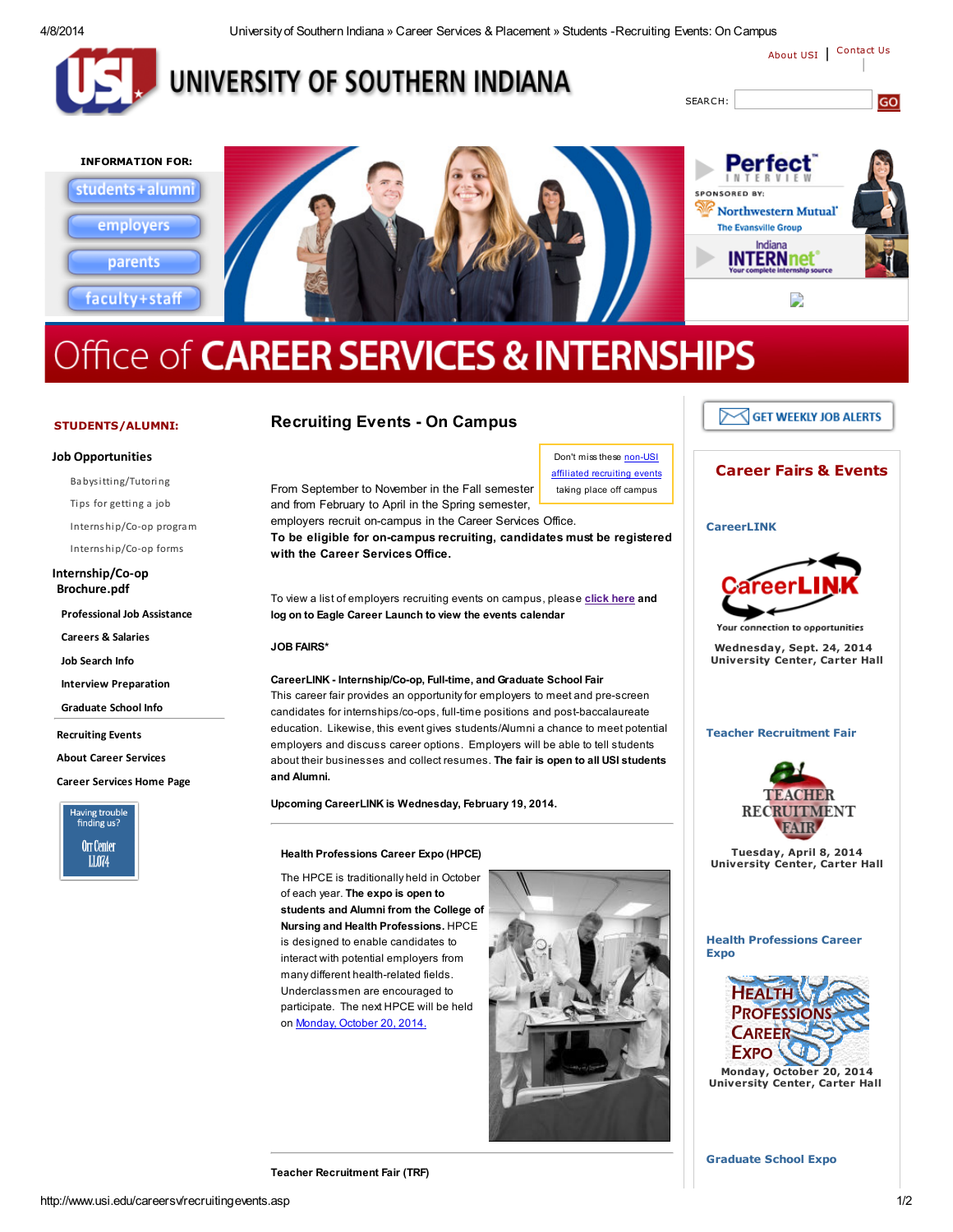4/8/2014 Universityof Southern Indiana » Career Services & Placement » Students -Recruiting Events: On Campus